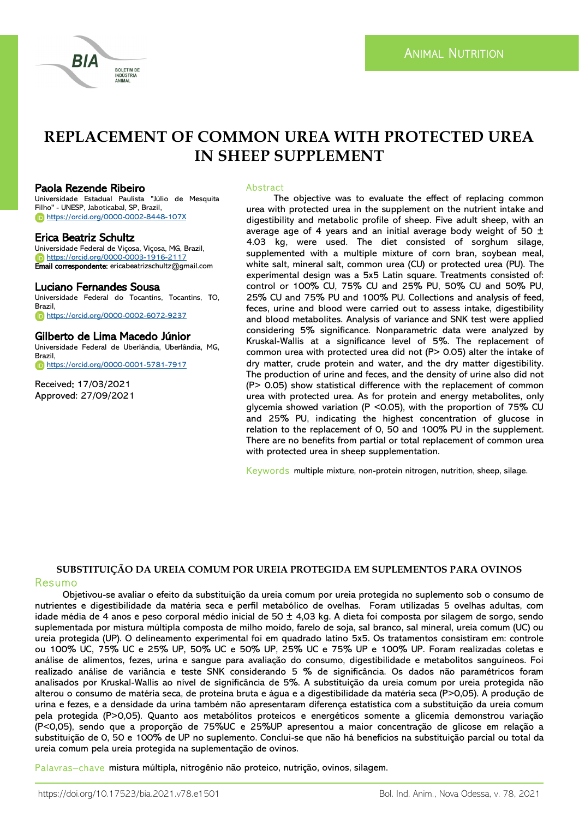

# **REPLACEMENT OF COMMON UREA WITH PROTECTED UREA IN SHEEP SUPPLEMENT**

### Paola Rezende Ribeiro

Universidade Estadual Paulista "Júlio de Mesquita Filho" - UNESP, Jaboticabal, SP, Brazil, <https://orcid.org/0000-0002-8448-107X>

### Erica Beatriz Schultz

Universidade Federal de Viçosa, Viçosa, MG, Brazil, <https://orcid.org/0000-0003-1916-2117> Email correspondente: ericabeatrizschultz@gmail.com

### Luciano Fernandes Sousa

Universidade Federal do Tocantins, Tocantins, TO, Brazil, <https://orcid.org/0000-0002-6072-9237>

### Gilberto de Lima Macedo Júnior

Universidade Federal de Uberlândia, Uberlândia, MG, Brazil, <https://orcid.org/0000-0001-5781-7917>

Received: 17/03/2021 Approved: 27/09/2021

### Abstract

The objective was to evaluate the effect of replacing common urea with protected urea in the supplement on the nutrient intake and digestibility and metabolic profile of sheep. Five adult sheep, with an average age of 4 years and an initial average body weight of 50  $\pm$ 4.03 kg, were used. The diet consisted of sorghum silage, supplemented with a multiple mixture of corn bran, soybean meal, white salt, mineral salt, common urea (CU) or protected urea (PU). The experimental design was a 5x5 Latin square. Treatments consisted of: control or 100% CU, 75% CU and 25% PU, 50% CU and 50% PU, 25% CU and 75% PU and 100% PU. Collections and analysis of feed, feces, urine and blood were carried out to assess intake, digestibility and blood metabolites. Analysis of variance and SNK test were applied considering 5% significance. Nonparametric data were analyzed by Kruskal-Wallis at a significance level of 5%. The replacement of common urea with protected urea did not (P> 0.05) alter the intake of dry matter, crude protein and water, and the dry matter digestibility. The production of urine and feces, and the density of urine also did not (P> 0.05) show statistical difference with the replacement of common urea with protected urea. As for protein and energy metabolites, only glycemia showed variation (P <0.05), with the proportion of 75% CU and 25% PU, indicating the highest concentration of glucose in relation to the replacement of 0, 50 and 100% PU in the supplement. There are no benefits from partial or total replacement of common urea with protected urea in sheep supplementation.

Keywords multiple mixture, non-protein nitrogen, nutrition, sheep, silage.

# **SUBSTITUIÇÃO DA UREIA COMUM POR UREIA PROTEGIDA EM SUPLEMENTOS PARA OVINOS**

Resumo Objetivou-se avaliar o efeito da substituição da ureia comum por ureia protegida no suplemento sob o consumo de nutrientes e digestibilidade da matéria seca e perfil metabólico de ovelhas. Foram utilizadas 5 ovelhas adultas, com idade média de 4 anos e peso corporal médio inicial de 50  $\pm$  4,03 kg. A dieta foi composta por silagem de sorgo, sendo suplementada por mistura múltipla composta de milho moído, farelo de soja, sal branco, sal mineral, ureia comum (UC) ou ureia protegida (UP). O delineamento experimental foi em quadrado latino 5x5. Os tratamentos consistiram em: controle ou 100% UC, 75% UC e 25% UP, 50% UC e 50% UP, 25% UC e 75% UP e 100% UP. Foram realizadas coletas e análise de alimentos, fezes, urina e sangue para avaliação do consumo, digestibilidade e metabolitos sanguíneos. Foi realizado análise de variância e teste SNK considerando 5 % de significância. Os dados não paramétricos foram analisados por Kruskal-Wallis ao nível de significância de 5%. A substituição da ureia comum por ureia protegida não alterou o consumo de matéria seca, de proteína bruta e água e a digestibilidade da matéria seca (P>0,05). A produção de urina e fezes, e a densidade da urina também não apresentaram diferença estatística com a substituição da ureia comum pela protegida (P>0,05). Quanto aos metabólitos proteicos e energéticos somente a glicemia demonstrou variação (P<0,05), sendo que a proporção de 75%UC e 25%UP apresentou a maior concentração de glicose em relação a substituição de 0, 50 e 100% de UP no suplemento. Conclui-se que não há benefícios na substituição parcial ou total da ureia comum pela ureia protegida na suplementação de ovinos.

Palavras–chave mistura múltipla, nitrogênio não proteico, nutrição, ovinos, silagem.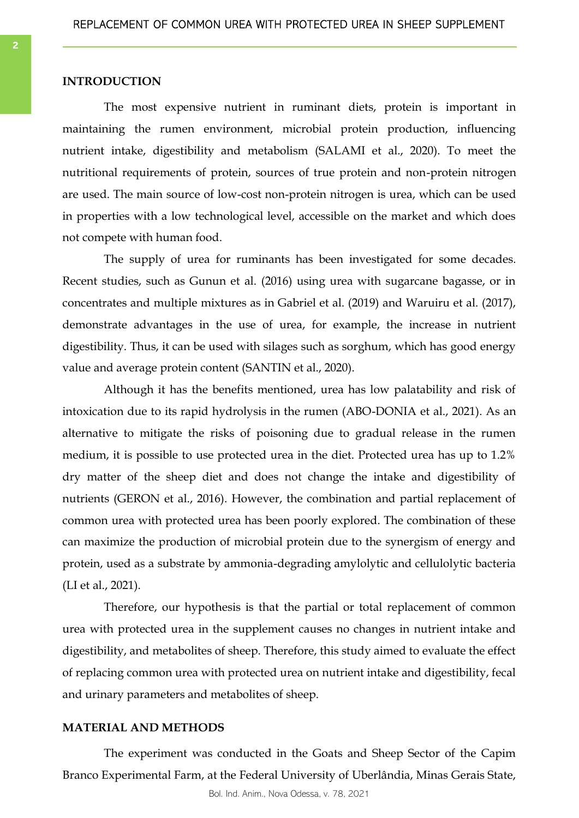### **INTRODUCTION**

The most expensive nutrient in ruminant diets, protein is important in maintaining the rumen environment, microbial protein production, influencing nutrient intake, digestibility and metabolism (SALAMI et al., 2020). To meet the nutritional requirements of protein, sources of true protein and non-protein nitrogen are used. The main source of low-cost non-protein nitrogen is urea, which can be used in properties with a low technological level, accessible on the market and which does not compete with human food.

The supply of urea for ruminants has been investigated for some decades. Recent studies, such as Gunun et al. (2016) using urea with sugarcane bagasse, or in concentrates and multiple mixtures as in Gabriel et al. (2019) and Waruiru et al. (2017), demonstrate advantages in the use of urea, for example, the increase in nutrient digestibility. Thus, it can be used with silages such as sorghum, which has good energy value and average protein content (SANTIN et al., 2020).

Although it has the benefits mentioned, urea has low palatability and risk of intoxication due to its rapid hydrolysis in the rumen (ABO-DONIA et al., 2021). As an alternative to mitigate the risks of poisoning due to gradual release in the rumen medium, it is possible to use protected urea in the diet. Protected urea has up to 1.2% dry matter of the sheep diet and does not change the intake and digestibility of nutrients (GERON et al., 2016). However, the combination and partial replacement of common urea with protected urea has been poorly explored. The combination of these can maximize the production of microbial protein due to the synergism of energy and protein, used as a substrate by ammonia-degrading amylolytic and cellulolytic bacteria (LI et al., 2021).

Therefore, our hypothesis is that the partial or total replacement of common urea with protected urea in the supplement causes no changes in nutrient intake and digestibility, and metabolites of sheep. Therefore, this study aimed to evaluate the effect of replacing common urea with protected urea on nutrient intake and digestibility, fecal and urinary parameters and metabolites of sheep.

# **MATERIAL AND METHODS**

The experiment was conducted in the Goats and Sheep Sector of the Capim Branco Experimental Farm, at the Federal University of Uberlândia, Minas Gerais State,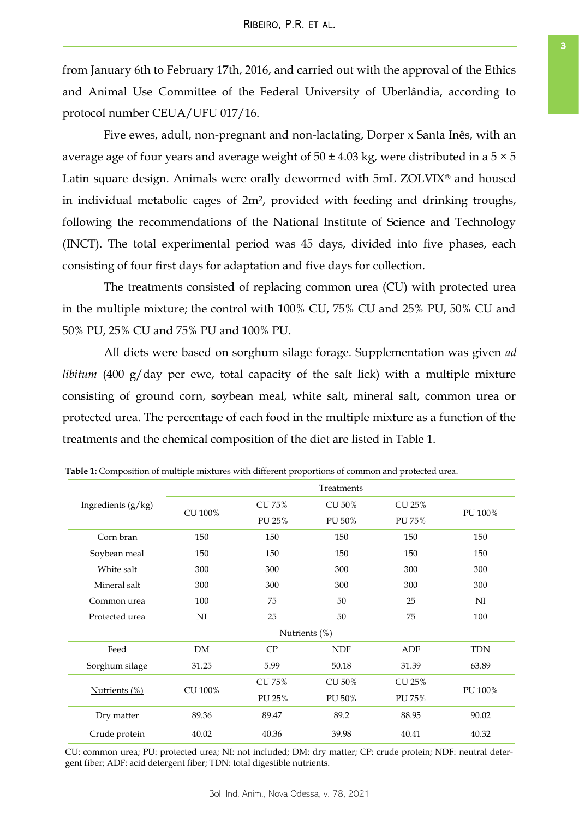<span id="page-2-0"></span>from January 6th to February 17th, 2016, and carried out with the approval of the Ethics and Animal Use Committee of the Federal University of Uberlândia, according to protocol number CEUA/UFU 017/16.

Five ewes, adult, non-pregnant and non-lactating, Dorper x Santa Inês, with an average age of four years and average weight of  $50 \pm 4.03$  kg, were distributed in a  $5 \times 5$ Latin square design. Animals were orally dewormed with 5mL ZOLVIX® and housed in individual metabolic cages of 2m2, provided with feeding and drinking troughs, following the recommendations of the National Institute of Science and Technology (INCT). The total experimental period was 45 days, divided into five phases, each consisting of four first days for adaptation and five days for collection.

The treatments consisted of replacing common urea (CU) with protected urea in the multiple mixture; the control with 100% CU, 75% CU and 25% PU, 50% CU and 50% PU, 25% CU and 75% PU and 100% PU.

All diets were based on sorghum silage forage. Supplementation was given *ad libitum* (400 g/day per ewe, total capacity of the salt lick) with a multiple mixture consisting of ground corn, soybean meal, white salt, mineral salt, common urea or protected urea. The percentage of each food in the multiple mixture as a function of the treatments and the chemical composition of the diet are listed in Table 1.

|                      | Treatments    |          |            |        |            |  |  |  |  |
|----------------------|---------------|----------|------------|--------|------------|--|--|--|--|
| Ingredients $(g/kg)$ | CU 100%       | CU 75%   | CU 50%     | CU 25% | PU 100%    |  |  |  |  |
|                      |               | PU 25%   | PU 50%     | PU 75% |            |  |  |  |  |
| Corn bran            | 150           | 150      | 150        | 150    | 150        |  |  |  |  |
| Soybean meal         | 150           | 150      | 150        | 150    | 150        |  |  |  |  |
| White salt           | 300           | 300      | 300        | 300    | 300        |  |  |  |  |
| Mineral salt         | 300           | 300      | 300        | 300    | 300        |  |  |  |  |
| Common urea          | 100           |          | 50         | 25     | NI         |  |  |  |  |
| Protected urea       | NI            | 25<br>50 |            | 75     | 100        |  |  |  |  |
|                      | Nutrients (%) |          |            |        |            |  |  |  |  |
| Feed                 | DM            | CP       | <b>NDF</b> | ADF    | <b>TDN</b> |  |  |  |  |
| Sorghum silage       | 31.25         | 5.99     | 50.18      | 31.39  | 63.89      |  |  |  |  |
|                      |               | CU 75%   | CU 50%     | CU 25% |            |  |  |  |  |
| Nutrients (%)        | CU 100%       | PU 25%   | PU 50%     | PU 75% | PU 100%    |  |  |  |  |
| Dry matter           | 89.36         | 89.47    | 89.2       | 88.95  | 90.02      |  |  |  |  |
| Crude protein        | 40.02         | 40.36    | 39.98      | 40.41  | 40.32      |  |  |  |  |

**Table 1:** Composition of multiple mixtures with different proportions of common and protected urea.

CU: common urea; PU: protected urea; NI: not included; DM: dry matter; CP: crude protein; NDF: neutral detergent fiber; ADF: acid detergent fiber; TDN: total digestible nutrients.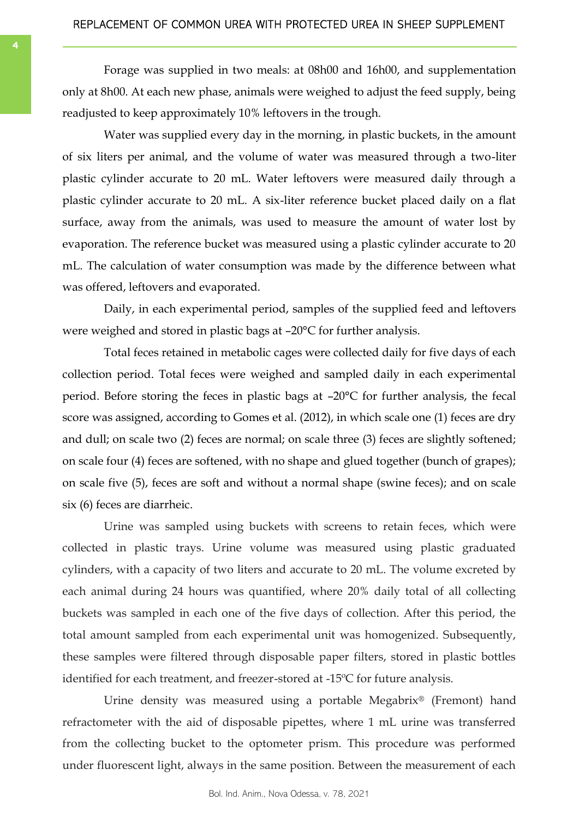Forage was supplied in two meals: at 08h00 and 16h00, and supplementation only at 8h00. At each new phase, animals were weighed to adjust the feed supply, being readjusted to keep approximately 10% leftovers in the trough.

Water was supplied every day in the morning, in plastic buckets, in the amount of six liters per animal, and the volume of water was measured through a two-liter plastic cylinder accurate to 20 mL. Water leftovers were measured daily through a plastic cylinder accurate to 20 mL. A six-liter reference bucket placed daily on a flat surface, away from the animals, was used to measure the amount of water lost by evaporation. The reference bucket was measured using a plastic cylinder accurate to 20 mL. The calculation of water consumption was made by the difference between what was offered, leftovers and evaporated.

Daily, in each experimental period, samples of the supplied feed and leftovers were weighed and stored in plastic bags at –20°C for further analysis.

Total feces retained in metabolic cages were collected daily for five days of each collection period. Total feces were weighed and sampled daily in each experimental period. Before storing the feces in plastic bags at –20°C for further analysis, the fecal score was assigned, according to Gomes et al. (2012), in which scale one (1) feces are dry and dull; on scale two (2) feces are normal; on scale three (3) feces are slightly softened; on scale four (4) feces are softened, with no shape and glued together (bunch of grapes); on scale five (5), feces are soft and without a normal shape (swine feces); and on scale six (6) feces are diarrheic.

Urine was sampled using buckets with screens to retain feces, which were collected in plastic trays. Urine volume was measured using plastic graduated cylinders, with a capacity of two liters and accurate to 20 mL. The volume excreted by each animal during 24 hours was quantified, where 20% daily total of all collecting buckets was sampled in each one of the five days of collection. After this period, the total amount sampled from each experimental unit was homogenized. Subsequently, these samples were filtered through disposable paper filters, stored in plastic bottles identified for each treatment, and freezer-stored at -15ºC for future analysis.

Urine density was measured using a portable Megabrix® (Fremont) hand refractometer with the aid of disposable pipettes, where 1 mL urine was transferred from the collecting bucket to the optometer prism. This procedure was performed under fluorescent light, always in the same position. Between the measurement of each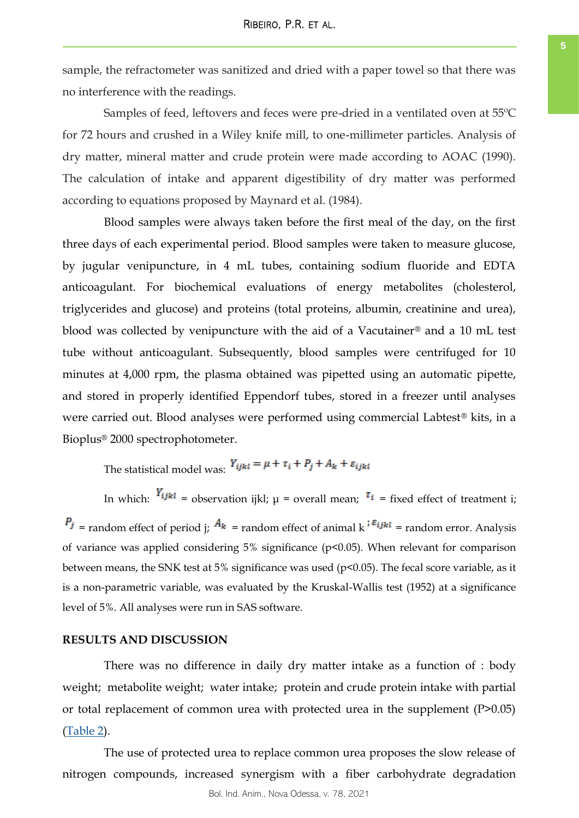sample, the refractometer was sanitized and dried with a paper towel so that there was no interference with the readings.

Samples of feed, leftovers and feces were pre-dried in a ventilated oven at 55ºC for 72 hours and crushed in a Wiley knife mill, to one-millimeter particles. Analysis of dry matter, mineral matter and crude protein were made according to AOAC (1990). The calculation of intake and apparent digestibility of dry matter was performed according to equations proposed by Maynard et al. (1984).

Blood samples were always taken before the first meal of the day, on the first three days of each experimental period. Blood samples were taken to measure glucose, by jugular venipuncture, in 4 mL tubes, containing sodium fluoride and EDTA anticoagulant. For biochemical evaluations of energy metabolites (cholesterol, triglycerides and glucose) and proteins (total proteins, albumin, creatinine and urea), blood was collected by venipuncture with the aid of a Vacutainer® and a 10 mL test tube without anticoagulant. Subsequently, blood samples were centrifuged for 10 minutes at 4,000 rpm, the plasma obtained was pipetted using an automatic pipette, and stored in properly identified Eppendorf tubes, stored in a freezer until analyses were carried out. Blood analyses were performed using commercial Labtest® kits, in a Bioplus® 2000 spectrophotometer.

The statistical model was:  $Y_{ijkl} = \mu + \tau_i + P_j + A_k + \varepsilon_{ijkl}$ 

In which:  $Y_{ijkl}$  = observation ijkl;  $\mu$  = overall mean;  $\tau_i$  = fixed effect of treatment i;  $P_j$  = random effect of period j;  $A_k$  = random effect of animal k  $i^{\epsilon_{ijkl}}$  = random error. Analysis of variance was applied considering 5% significance (p<0.05). When relevant for comparison between means, the SNK test at 5% significance was used (p<0.05). The fecal score variable, as it is a non-parametric variable, was evaluated by the Kruskal-Wallis test (1952) at a significance level of 5%. All analyses were run in SAS software.

### **RESULTS AND DISCUSSION**

There was no difference in daily dry matter intake as a function of : body weight; metabolite weight; water intake; protein and crude protein intake with partial or total replacement of common urea with protected urea in the supplement (P>0.05) [\(Table 2\)](#page-5-0).

The use of protected urea to replace common urea proposes the slow release of nitrogen compounds, increased synergism with a fiber carbohydrate degradation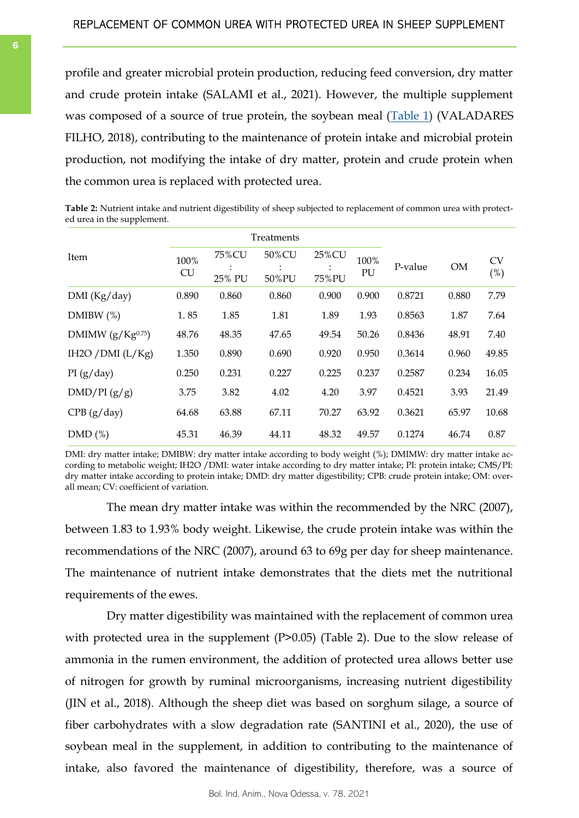<span id="page-5-0"></span>profile and greater microbial protein production, reducing feed conversion, dry matter and crude protein intake (SALAMI et al., 2021). However, the multiple supplement was composed of a source of true protein, the soybean meal ([Table 1\)](#page-2-0) (VALADARES FILHO, 2018), contributing to the maintenance of protein intake and microbial protein production, not modifying the intake of dry matter, protein and crude protein when the common urea is replaced with protected urea.

**Table 2:** Nutrient intake and nutrient digestibility of sheep subjected to replacement of common urea with protected urea in the supplement.

|                       |                   | Treatments      |                |                |            |         |           |                     |
|-----------------------|-------------------|-----------------|----------------|----------------|------------|---------|-----------|---------------------|
| Item                  | 100%<br><b>CU</b> | 75%CU<br>25% PU | 50%CU<br>50%PU | 25%CU<br>75%PU | 100%<br>PU | P-value | <b>OM</b> | <b>CV</b><br>$(\%)$ |
| DMI (Kg/day)          | 0.890             | 0.860           | 0.860          | 0.900          | 0.900      | 0.8721  | 0.880     | 7.79                |
| DMIBW $(\%)$          | 1.85              | 1.85            | 1.81           | 1.89           | 1.93       | 0.8563  | 1.87      | 7.64                |
| DMIMW $(g/Kg^{0.75})$ | 48.76             | 48.35           | 47.65          | 49.54          | 50.26      | 0.8436  | 48.91     | 7.40                |
| IH2O / DMI $(L/Kg)$   | 1.350             | 0.890           | 0.690          | 0.920          | 0.950      | 0.3614  | 0.960     | 49.85               |
| PI(g/day)             | 0.250             | 0.231           | 0.227          | 0.225          | 0.237      | 0.2587  | 0.234     | 16.05               |
| DMD/PI(g/g)           | 3.75              | 3.82            | 4.02           | 4.20           | 3.97       | 0.4521  | 3.93      | 21.49               |
| CPB (g/day)           | 64.68             | 63.88           | 67.11          | 70.27          | 63.92      | 0.3621  | 65.97     | 10.68               |
| DMD(%)                | 45.31             | 46.39           | 44.11          | 48.32          | 49.57      | 0.1274  | 46.74     | 0.87                |

DMI: dry matter intake; DMIBW: dry matter intake according to body weight (%); DMIMW: dry matter intake according to metabolic weight; IH2O /DMI: water intake according to dry matter intake; PI: protein intake; CMS/PI: dry matter intake according to protein intake; DMD: dry matter digestibility; CPB: crude protein intake; OM: overall mean; CV: coefficient of variation.

The mean dry matter intake was within the recommended by the NRC (2007), between 1.83 to 1.93% body weight. Likewise, the crude protein intake was within the recommendations of the NRC (2007), around 63 to 69g per day for sheep maintenance. The maintenance of nutrient intake demonstrates that the diets met the nutritional requirements of the ewes.

Dry matter digestibility was maintained with the replacement of common urea with protected urea in the supplement (P>0.05) (Table 2). Due to the slow release of ammonia in the rumen environment, the addition of protected urea allows better use of nitrogen for growth by ruminal microorganisms, increasing nutrient digestibility (JIN et al., 2018). Although the sheep diet was based on sorghum silage, a source of fiber carbohydrates with a slow degradation rate (SANTINI et al., 2020), the use of soybean meal in the supplement, in addition to contributing to the maintenance of intake, also favored the maintenance of digestibility, therefore, was a source of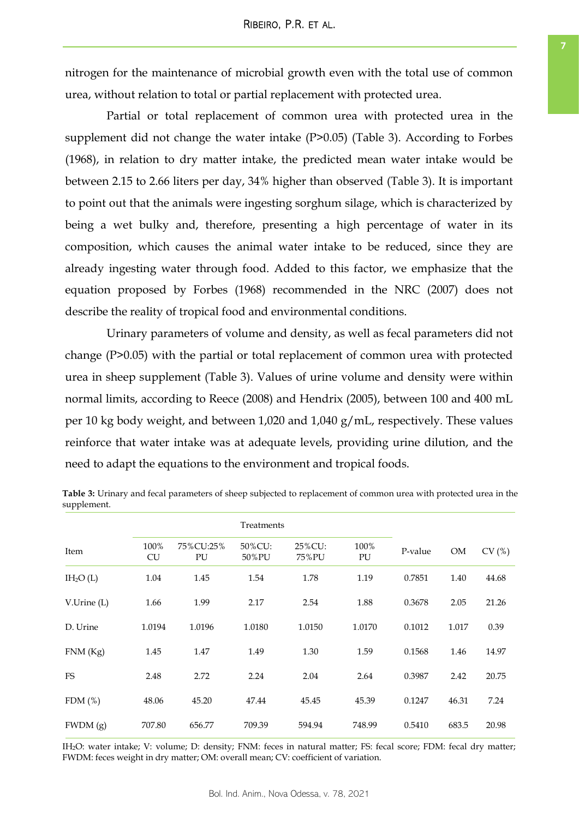nitrogen for the maintenance of microbial growth even with the total use of common urea, without relation to total or partial replacement with protected urea.

Partial or total replacement of common urea with protected urea in the supplement did not change the water intake (P>0.05) (Table 3). According to Forbes (1968), in relation to dry matter intake, the predicted mean water intake would be between 2.15 to 2.66 liters per day, 34% higher than observed (Table 3). It is important to point out that the animals were ingesting sorghum silage, which is characterized by being a wet bulky and, therefore, presenting a high percentage of water in its composition, which causes the animal water intake to be reduced, since they are already ingesting water through food. Added to this factor, we emphasize that the equation proposed by Forbes (1968) recommended in the NRC (2007) does not describe the reality of tropical food and environmental conditions.

Urinary parameters of volume and density, as well as fecal parameters did not change (P>0.05) with the partial or total replacement of common urea with protected urea in sheep supplement (Table 3). Values of urine volume and density were within normal limits, according to Reece (2008) and Hendrix (2005), between 100 and 400 mL per 10 kg body weight, and between 1,020 and 1,040 g/mL, respectively. These values reinforce that water intake was at adequate levels, providing urine dilution, and the need to adapt the equations to the environment and tropical foods.

| Item        | 100%<br><b>CU</b> | 75%CU:25%<br>PU | 50%CU:<br>50%PU | 25%CU:<br>75%PU | 100%<br>PU | P-value | <b>OM</b> | CV(%) |
|-------------|-------------------|-----------------|-----------------|-----------------|------------|---------|-----------|-------|
| $IH_2O(L)$  | 1.04              | 1.45            | 1.54            | 1.78            | 1.19       | 0.7851  | 1.40      | 44.68 |
| V.Urine (L) | 1.66              | 1.99            | 2.17            | 2.54            | 1.88       | 0.3678  | 2.05      | 21.26 |
| D. Urine    | 1.0194            | 1.0196          | 1.0180          | 1.0150          | 1.0170     | 0.1012  | 1.017     | 0.39  |
| FNM(Kg)     | 1.45              | 1.47            | 1.49            | 1.30            | 1.59       | 0.1568  | 1.46      | 14.97 |
| <b>FS</b>   | 2.48              | 2.72            | 2.24            | 2.04            | 2.64       | 0.3987  | 2.42      | 20.75 |
| FDM $(\%)$  | 48.06             | 45.20           | 47.44           | 45.45           | 45.39      | 0.1247  | 46.31     | 7.24  |
| FWDM(g)     | 707.80            | 656.77          | 709.39          | 594.94          | 748.99     | 0.5410  | 683.5     | 20.98 |

**Table 3:** Urinary and fecal parameters of sheep subjected to replacement of common urea with protected urea in the supplement.

IH2O: water intake; V: volume; D: density; FNM: feces in natural matter; FS: fecal score; FDM: fecal dry matter; FWDM: feces weight in dry matter; OM: overall mean; CV: coefficient of variation.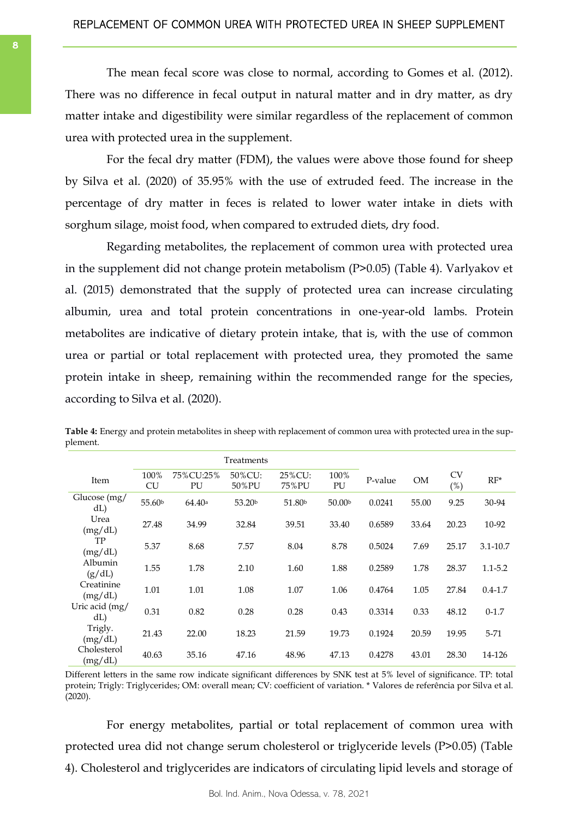The mean fecal score was close to normal, according to Gomes et al. (2012). There was no difference in fecal output in natural matter and in dry matter, as dry matter intake and digestibility were similar regardless of the replacement of common urea with protected urea in the supplement.

For the fecal dry matter (FDM), the values were above those found for sheep by Silva et al. (2020) of 35.95% with the use of extruded feed. The increase in the percentage of dry matter in feces is related to lower water intake in diets with sorghum silage, moist food, when compared to extruded diets, dry food.

Regarding metabolites, the replacement of common urea with protected urea in the supplement did not change protein metabolism (P>0.05) (Table 4). Varlyakov et al. (2015) demonstrated that the supply of protected urea can increase circulating albumin, urea and total protein concentrations in one-year-old lambs. Protein metabolites are indicative of dietary protein intake, that is, with the use of common urea or partial or total replacement with protected urea, they promoted the same protein intake in sheep, remaining within the recommended range for the species, according to Silva et al. (2020).

|                        | Treatments         |                 |                    |                    |                    |         |           |                  |             |
|------------------------|--------------------|-----------------|--------------------|--------------------|--------------------|---------|-----------|------------------|-------------|
| Item                   | 100%<br><b>CU</b>  | 75%CU:25%<br>PU | 50%CU:<br>50%PU    | 25%CU:<br>75%PU    | 100%<br>PU         | P-value | <b>OM</b> | <b>CV</b><br>(%) | $RF^*$      |
| Glucose (mg/<br>dL     | 55.60 <sup>b</sup> | 64.40a          | 53.20 <sup>b</sup> | 51.80 <sup>b</sup> | 50.00 <sup>b</sup> | 0.0241  | 55.00     | 9.25             | 30-94       |
| Urea<br>(mg/dL)        | 27.48              | 34.99           | 32.84              | 39.51              | 33.40              | 0.6589  | 33.64     | 20.23            | 10-92       |
| TP<br>(mg/dL)          | 5.37               | 8.68            | 7.57               | 8.04               | 8.78               | 0.5024  | 7.69      | 25.17            | 3.1-10.7    |
| Albumin<br>(g/dL)      | 1.55               | 1.78            | 2.10               | 1.60               | 1.88               | 0.2589  | 1.78      | 28.37            | 1.1-5.2     |
| Creatinine<br>(mg/dL)  | 1.01               | 1.01            | 1.08               | 1.07               | 1.06               | 0.4764  | 1.05      | 27.84            | $0.4 - 1.7$ |
| Uric acid (mg/<br>dL   | 0.31               | 0.82            | 0.28               | 0.28               | 0.43               | 0.3314  | 0.33      | 48.12            | $0-1.7$     |
| Trigly.<br>(mg/dL)     | 21.43              | 22.00           | 18.23              | 21.59              | 19.73              | 0.1924  | 20.59     | 19.95            | $5 - 71$    |
| Cholesterol<br>(mg/dL) | 40.63              | 35.16           | 47.16              | 48.96              | 47.13              | 0.4278  | 43.01     | 28.30            | 14-126      |

**Table 4:** Energy and protein metabolites in sheep with replacement of common urea with protected urea in the supplement.

Different letters in the same row indicate significant differences by SNK test at 5% level of significance. TP: total protein; Trigly: Triglycerides; OM: overall mean; CV: coefficient of variation. \* Valores de referência por Silva et al. (2020).

For energy metabolites, partial or total replacement of common urea with protected urea did not change serum cholesterol or triglyceride levels (P>0.05) (Table 4). Cholesterol and triglycerides are indicators of circulating lipid levels and storage of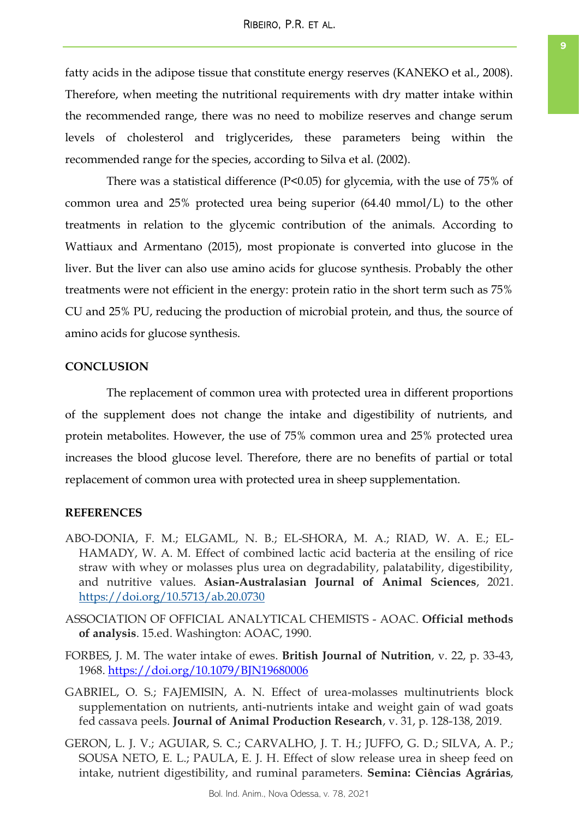fatty acids in the adipose tissue that constitute energy reserves (KANEKO et al., 2008). Therefore, when meeting the nutritional requirements with dry matter intake within the recommended range, there was no need to mobilize reserves and change serum levels of cholesterol and triglycerides, these parameters being within the recommended range for the species, according to Silva et al. (2002).

There was a statistical difference (P<0.05) for glycemia, with the use of 75% of common urea and 25% protected urea being superior (64.40 mmol/L) to the other treatments in relation to the glycemic contribution of the animals. According to Wattiaux and Armentano (2015), most propionate is converted into glucose in the liver. But the liver can also use amino acids for glucose synthesis. Probably the other treatments were not efficient in the energy: protein ratio in the short term such as 75% CU and 25% PU, reducing the production of microbial protein, and thus, the source of amino acids for glucose synthesis.

# **CONCLUSION**

The replacement of common urea with protected urea in different proportions of the supplement does not change the intake and digestibility of nutrients, and protein metabolites. However, the use of 75% common urea and 25% protected urea increases the blood glucose level. Therefore, there are no benefits of partial or total replacement of common urea with protected urea in sheep supplementation.

## **REFERENCES**

- ABO-DONIA, F. M.; ELGAML, N. B.; EL-SHORA, M. A.; RIAD, W. A. E.; EL-HAMADY, W. A. M. Effect of combined lactic acid bacteria at the ensiling of rice straw with whey or molasses plus urea on degradability, palatability, digestibility, and nutritive values. **Asian-Australasian Journal of Animal Sciences**, 2021. <https://doi.org/10.5713/ab.20.0730>
- ASSOCIATION OF OFFICIAL ANALYTICAL CHEMISTS AOAC. **Official methods of analysis**. 15.ed. Washington: AOAC, 1990.
- FORBES, J. M. The water intake of ewes. **British Journal of Nutrition**, v. 22, p. 33-43, 1968.<https://doi.org/10.1079/BJN19680006>
- GABRIEL, O. S.; FAJEMISIN, A. N. Effect of urea-molasses multinutrients block supplementation on nutrients, anti-nutrients intake and weight gain of wad goats fed cassava peels. **Journal of Animal Production Research**, v. 31, p. 128-138, 2019.
- GERON, L. J. V.; AGUIAR, S. C.; CARVALHO, J. T. H.; JUFFO, G. D.; SILVA, A. P.; SOUSA NETO, E. L.; PAULA, E. J. H. Effect of slow release urea in sheep feed on intake, nutrient digestibility, and ruminal parameters. **Semina: Ciências Agrárias**,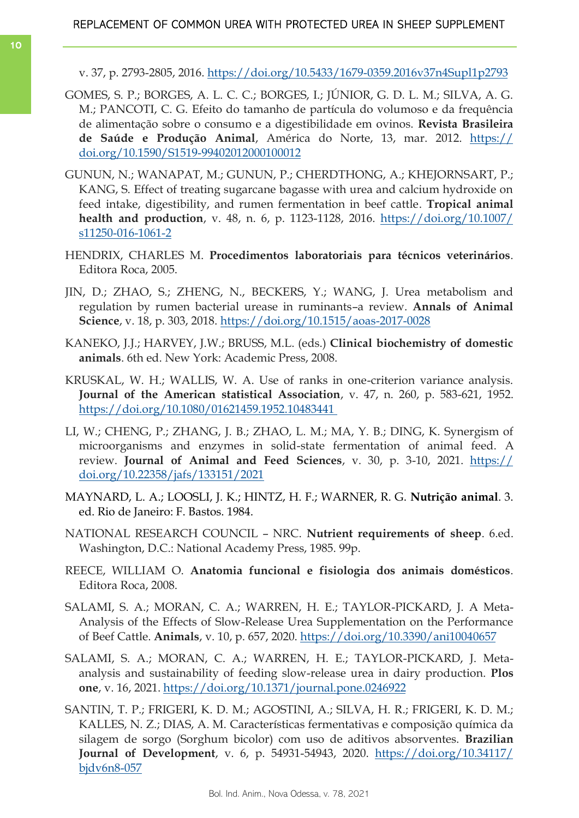- v. 37, p. 2793-2805, 2016.<https://doi.org/10.5433/1679-0359.2016v37n4Supl1p2793>
- GOMES, S. P.; BORGES, A. L. C. C.; BORGES, I.; JÚNIOR, G. D. L. M.; SILVA, A. G. M.; PANCOTI, C. G. Efeito do tamanho de partícula do volumoso e da frequência de alimentação sobre o consumo e a digestibilidade em ovinos. **Revista Brasileira de Saúde e Produção Animal**, América do Norte, 13, mar. 2012. [https://](https://doi.org/10.1590/S1519-99402012000100012) [doi.org/10.1590/S1519-99402012000100012](https://doi.org/10.1590/S1519-99402012000100012)
- GUNUN, N.; WANAPAT, M.; GUNUN, P.; CHERDTHONG, A.; KHEJORNSART, P.; KANG, S. Effect of treating sugarcane bagasse with urea and calcium hydroxide on feed intake, digestibility, and rumen fermentation in beef cattle. **Tropical animal health and production**, v. 48, n. 6, p. 1123-1128, 2016. [https://doi.org/10.1007/](https://doi.org/10.1007/s11250-016-1061-2) [s11250-016-1061-2](https://doi.org/10.1007/s11250-016-1061-2)
- HENDRIX, CHARLES M. **Procedimentos laboratoriais para técnicos veterinários**. Editora Roca, 2005.
- JIN, D.; ZHAO, S.; ZHENG, N., BECKERS, Y.; WANG, J. Urea metabolism and regulation by rumen bacterial urease in ruminants–a review. **Annals of Animal Science**, v. 18, p. 303, 2018. <https://doi.org/10.1515/aoas-2017-0028>
- KANEKO, J.J.; HARVEY, J.W.; BRUSS, M.L. (eds.) **Clinical biochemistry of domestic animals**. 6th ed. New York: Academic Press, 2008.
- KRUSKAL, W. H.; WALLIS, W. A. Use of ranks in one-criterion variance analysis. **Journal of the American statistical Association**, v. 47, n. 260, p. 583-621, 1952. [https://doi.org/10.1080/01621459.1952.10483441](https://doi.org/10.1080/01621459.1952.10483441 )
- LI, W.; CHENG, P.; ZHANG, J. B.; ZHAO, L. M.; MA, Y. B.; DING, K. Synergism of microorganisms and enzymes in solid-state fermentation of animal feed. A review. **Journal of Animal and Feed Sciences**, v. 30, p. 3-10, 2021. [https://](https://doi.org/10.22358/jafs/133151/2021) [doi.org/10.22358/jafs/133151/2021](https://doi.org/10.22358/jafs/133151/2021)
- MAYNARD, L. A.; LOOSLI, J. K.; HINTZ, H. F.; WARNER, R. G. **Nutrição animal**. 3. ed. Rio de Janeiro: F. Bastos. 1984.
- NATIONAL RESEARCH COUNCIL NRC. **Nutrient requirements of sheep**. 6.ed. Washington, D.C.: National Academy Press, 1985. 99p.
- REECE, WILLIAM O. **Anatomia funcional e fisiologia dos animais domésticos**. Editora Roca, 2008.
- SALAMI, S. A.; MORAN, C. A.; WARREN, H. E.; TAYLOR-PICKARD, J. A Meta-Analysis of the Effects of Slow-Release Urea Supplementation on the Performance of Beef Cattle. **Animals**, v. 10, p. 657, 2020. <https://doi.org/10.3390/ani10040657>
- SALAMI, S. A.; MORAN, C. A.; WARREN, H. E.; TAYLOR-PICKARD, J. Metaanalysis and sustainability of feeding slow-release urea in dairy production. **Plos one**, v. 16, 2021.<https://doi.org/10.1371/journal.pone.0246922>
- SANTIN, T. P.; FRIGERI, K. D. M.; AGOSTINI, A.; SILVA, H. R.; FRIGERI, K. D. M.; KALLES, N. Z.; DIAS, A. M. Características fermentativas e composição química da silagem de sorgo (Sorghum bicolor) com uso de aditivos absorventes. **Brazilian Journal of Development**, v. 6, p. 54931-54943, 2020. [https://doi.org/10.34117/](https://doi.org/10.34117/bjdv6n8-057) [bjdv6n8-057](https://doi.org/10.34117/bjdv6n8-057)